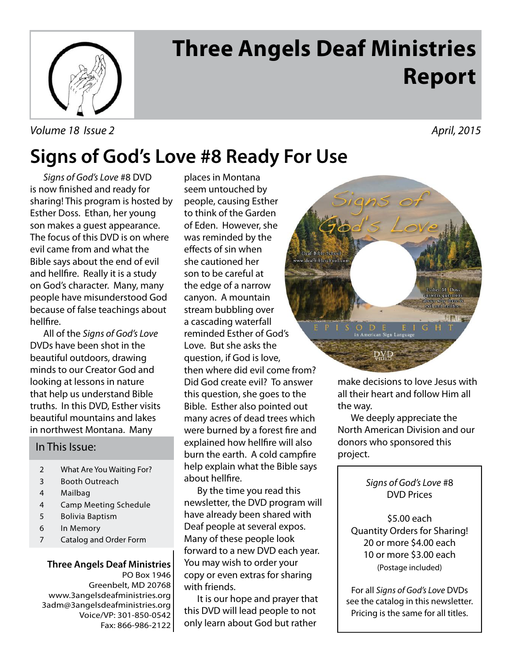

# **Three Angels Deaf Ministries Report**

Volume 18 Issue 2 April, 2015

## **Signs of God's Love #8 Ready For Use**

Signs of God's Love #8 DVD is now finished and ready for sharing! This program is hosted by Esther Doss. Ethan, her young son makes a guest appearance. The focus of this DVD is on where evil came from and what the Bible says about the end of evil and hellfire. Really it is a study on God's character. Many, many people have misunderstood God because of false teachings about hellfire.

 All of the Signs of God's Love DVDs have been shot in the beautiful outdoors, drawing minds to our Creator God and looking at lessons in nature that help us understand Bible truths. In this DVD, Esther visits beautiful mountains and lakes in northwest Montana. Many

#### In This Issue:

- 2 What Are You Waiting For?
- 3 Booth Outreach
- 4 Mailbag
- 4 Camp Meeting Schedule
- 5 Bolivia Baptism
- 6 In Memory
- 7 Catalog and Order Form

#### **Three Angels Deaf Ministries** PO Box 1946

Greenbelt, MD 20768 www.3angelsdeafministries.org 3adm@3angelsdeafministries.org Voice/VP: 301-850-0542 Fax: 866-986-2122 then where did evil come from? Did God create evil? To answer this question, she goes to the Bible. Esther also pointed out many acres of dead trees which were burned by a forest fire and explained how hellfire will also burn the earth. A cold campfire help explain what the Bible says about hellfire. places in Montana seem untouched by people, causing Esther to think of the Garden of Eden. However, she was reminded by the effects of sin when she cautioned her son to be careful at the edge of a narrow canyon. A mountain stream bubbling over a cascading waterfall reminded Esther of God's Love. But she asks the question, if God is love,

 By the time you read this newsletter, the DVD program will have already been shared with Deaf people at several expos. Many of these people look forward to a new DVD each year. You may wish to order your copy or even extras for sharing with friends.

 It is our hope and prayer that this DVD will lead people to not only learn about God but rather



make decisions to love Jesus with all their heart and follow Him all the way.

 We deeply appreciate the North American Division and our donors who sponsored this project.

#### Signs of God's Love #8 DVD Prices

\$5.00 each Quantity Orders for Sharing! 20 or more \$4.00 each 10 or more \$3.00 each (Postage included)

For all Signs of God's Love DVDs see the catalog in this newsletter. Pricing is the same for all titles.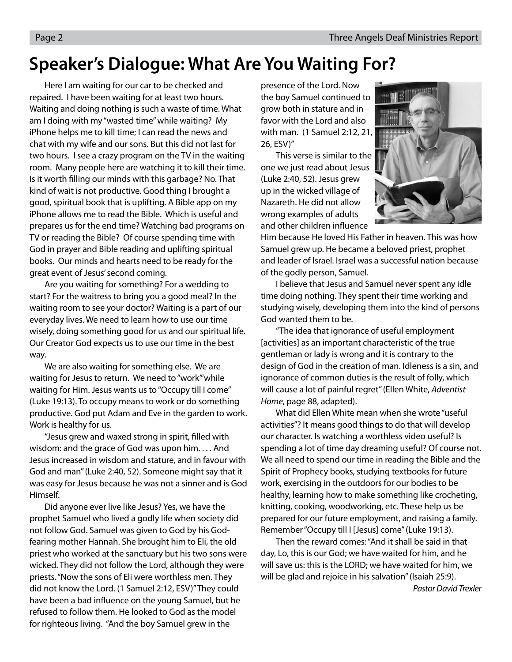### **Speaker's Dialogue: What Are You Waiting For?**

 Here I am waiting for our car to be checked and repaired. I have been waiting for at least two hours. Waiting and doing nothing is such a waste of time. What am I doing with my "wasted time" while waiting? My iPhone helps me to kill time; I can read the news and chat with my wife and our sons. But this did not last for two hours. I see a crazy program on the TV in the waiting room. Many people here are watching it to kill their time. Is it worth filling our minds with this garbage? No. That kind of wait is not productive. Good thing I brought a good, spiritual book that is uplifting. A Bible app on my iPhone allows me to read the Bible. Which is useful and prepares us for the end time? Watching bad programs on TV or reading the Bible? Of course spending time with God in prayer and Bible reading and uplifting spiritual books. Our minds and hearts need to be ready for the great event of Jesus' second coming.

 Are you waiting for something? For a wedding to start? For the waitress to bring you a good meal? In the waiting room to see your doctor? Waiting is a part of our everyday lives. We need to learn how to use our time wisely, doing something good for us and our spiritual life. Our Creator God expects us to use our time in the best way.

 We are also waiting for something else. We are waiting for Jesus to return. We need to "work"'while waiting for Him. Jesus wants us to "Occupy till I come" (Luke 19:13). To occupy means to work or do something productive. God put Adam and Eve in the garden to work. Work is healthy for us.

"Jesus grew and waxed strong in spirit, filled with wisdom: and the grace of God was upon him. . . . And Jesus increased in wisdom and stature, and in favour with God and man" (Luke 2:40, 52). Someone might say that it was easy for Jesus because he was not a sinner and is God Himself.

 Did anyone ever live like Jesus? Yes, we have the prophet Samuel who lived a godly life when society did not follow God. Samuel was given to God by his Godfearing mother Hannah. She brought him to Eli, the old priest who worked at the sanctuary but his two sons were wicked. They did not follow the Lord, although they were priests. "Now the sons of Eli were worthless men. They did not know the Lord. (1 Samuel 2:12, ESV)" They could have been a bad influence on the young Samuel, but he refused to follow them. He looked to God as the model for righteous living. "And the boy Samuel grew in the

presence of the Lord. Now the boy Samuel continued to grow both in stature and in favor with the Lord and also with man. (1 Samuel 2:12, 21, 26, ESV)"

 This verse is similar to the one we just read about Jesus (Luke 2:40, 52). Jesus grew up in the wicked village of Nazareth. He did not allow wrong examples of adults and other children influence



Him because He loved His Father in heaven. This was how Samuel grew up. He became a beloved priest, prophet and leader of Israel. Israel was a successful nation because of the godly person, Samuel.

 I believe that Jesus and Samuel never spent any idle time doing nothing. They spent their time working and studying wisely, developing them into the kind of persons God wanted them to be.

 "The idea that ignorance of useful employment [activities] as an important characteristic of the true gentleman or lady is wrong and it is contrary to the design of God in the creation of man. Idleness is a sin, and ignorance of common duties is the result of folly, which will cause a lot of painful regret" (Ellen White, Adventist Home, page 88, adapted).

 What did Ellen White mean when she wrote "useful activities"? It means good things to do that will develop our character. Is watching a worthless video useful? Is spending a lot of time day dreaming useful? Of course not. We all need to spend our time in reading the Bible and the Spirit of Prophecy books, studying textbooks for future work, exercising in the outdoors for our bodies to be healthy, learning how to make something like crocheting, knitting, cooking, woodworking, etc. These help us be prepared for our future employment, and raising a family. Remember "Occupy till I [Jesus] come" (Luke 19:13).

 Then the reward comes: "And it shall be said in that day, Lo, this is our God; we have waited for him, and he will save us: this is the LORD; we have waited for him, we will be glad and rejoice in his salvation" (Isaiah 25:9).

Pastor David Trexler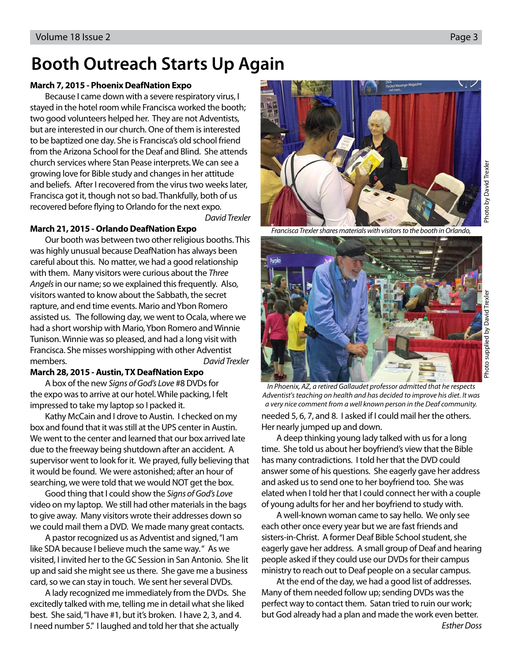### **Booth Outreach Starts Up Again**

#### **March 7, 2015 - Phoenix DeafNation Expo**

Because I came down with a severe respiratory virus, I stayed in the hotel room while Francisca worked the booth; two good volunteers helped her. They are not Adventists, but are interested in our church. One of them is interested to be baptized one day. She is Francisca's old school friend from the Arizona School for the Deaf and Blind. She attends church services where Stan Pease interprets. We can see a growing love for Bible study and changes in her attitude and beliefs. After I recovered from the virus two weeks later, Francisca got it, though not so bad. Thankfully, both of us recovered before flying to Orlando for the next expo.

David Trexler

#### **March 21, 2015 - Orlando DeafNation Expo**

Our booth was between two other religious booths. This was highly unusual because DeafNation has always been careful about this. No matter, we had a good relationship with them. Many visitors were curious about the Three Angels in our name; so we explained this frequently. Also, visitors wanted to know about the Sabbath, the secret rapture, and end time events. Mario and Ybon Romero assisted us. The following day, we went to Ocala, where we had a short worship with Mario, Ybon Romero and Winnie Tunison. Winnie was so pleased, and had a long visit with Francisca. She misses worshipping with other Adventist members. The contract of the contract of the David Trexler

#### **March 28, 2015 - Austin, TX DeafNation Expo**

A box of the new Signs of God's Love #8 DVDs for the expo was to arrive at our hotel. While packing, I felt impressed to take my laptop so I packed it.

Kathy McCain and I drove to Austin. I checked on my box and found that it was still at the UPS center in Austin. We went to the center and learned that our box arrived late due to the freeway being shutdown after an accident. A supervisor went to look for it. We prayed, fully believing that it would be found. We were astonished; after an hour of searching, we were told that we would NOT get the box.

Good thing that I could show the Signs of God's Love video on my laptop. We still had other materials in the bags to give away. Many visitors wrote their addresses down so we could mail them a DVD. We made many great contacts.

A pastor recognized us as Adventist and signed, "I am like SDA because I believe much the same way. " As we visited, I invited her to the GC Session in San Antonio. She lit up and said she might see us there. She gave me a business card, so we can stay in touch. We sent her several DVDs.

A lady recognized me immediately from the DVDs. She excitedly talked with me, telling me in detail what she liked best. She said, "I have #1, but it's broken. I have 2, 3, and 4. I need number 5." I laughed and told her that she actually



Francisca Trexler shares materials with visitors to the booth in Orlando,



needed 5, 6, 7, and 8. I asked if I could mail her the others. Her nearly jumped up and down. In Phoenix, AZ, a retired Gallaudet professor admitted that he respects Adventist's teaching on health and has decided to improve his diet. It was a very nice comment from a well known person in the Deaf community.

A deep thinking young lady talked with us for a long time. She told us about her boyfriend's view that the Bible has many contradictions. I told her that the DVD could answer some of his questions. She eagerly gave her address and asked us to send one to her boyfriend too. She was elated when I told her that I could connect her with a couple of young adults for her and her boyfriend to study with.

A well-known woman came to say hello. We only see each other once every year but we are fast friends and sisters-in-Christ. A former Deaf Bible School student, she eagerly gave her address. A small group of Deaf and hearing people asked if they could use our DVDs for their campus ministry to reach out to Deaf people on a secular campus.

At the end of the day, we had a good list of addresses. Many of them needed follow up; sending DVDs was the perfect way to contact them. Satan tried to ruin our work; but God already had a plan and made the work even better.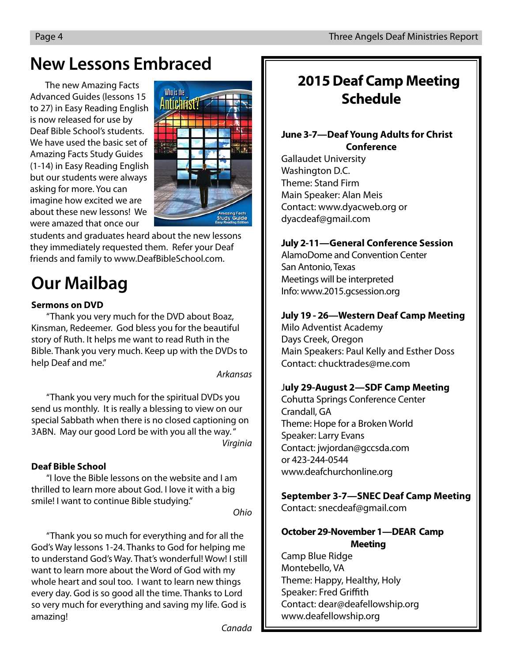### **New Lessons Embraced**

The new Amazing Facts Advanced Guides (lessons 15 to 27) in Easy Reading English is now released for use by Deaf Bible School's students. We have used the basic set of Amazing Facts Study Guides (1-14) in Easy Reading English but our students were always asking for more. You can imagine how excited we are about these new lessons! We were amazed that once our



students and graduates heard about the new lessons they immediately requested them. Refer your Deaf friends and family to www.DeafBibleSchool.com.

## **Our Mailbag**

#### **Sermons on DVD**

"Thank you very much for the DVD about Boaz, Kinsman, Redeemer. God bless you for the beautiful story of Ruth. It helps me want to read Ruth in the Bible. Thank you very much. Keep up with the DVDs to help Deaf and me."

Arkansas

"Thank you very much for the spiritual DVDs you send us monthly. It is really a blessing to view on our special Sabbath when there is no closed captioning on 3ABN. May our good Lord be with you all the way. " **Virginia** 

#### **Deaf Bible School**

"I love the Bible lessons on the website and I am thrilled to learn more about God. I love it with a big smile! I want to continue Bible studying."

Ohio

"Thank you so much for everything and for all the God's Way lessons 1-24. Thanks to God for helping me to understand God's Way. That's wonderful! Wow! I still want to learn more about the Word of God with my whole heart and soul too. I want to learn new things every day. God is so good all the time. Thanks to Lord so very much for everything and saving my life. God is amazing!

### **2015 Deaf Camp Meeting Schedule**

#### **June 3-7—Deaf Young Adults for Christ Conference**

Gallaudet University Washington D.C. Theme: Stand Firm Main Speaker: Alan Meis Contact: www.dyacweb.org or dyacdeaf@gmail.com

#### **July 2-11—General Conference Session**

AlamoDome and Convention Center San Antonio, Texas Meetings will be interpreted Info: www.2015.gcsession.org

#### **July 19 - 26—Western Deaf Camp Meeting**

Milo Adventist Academy Days Creek, Oregon Main Speakers: Paul Kelly and Esther Doss Contact: chucktrades@me.com

#### J**uly 29-August 2—SDF Camp Meeting**

Cohutta Springs Conference Center Crandall, GA Theme: Hope for a Broken World Speaker: Larry Evans Contact: jwjordan@gccsda.com or 423-244-0544 www.deafchurchonline.org

### **September 3-7—SNEC Deaf Camp Meeting**

Contact: snecdeaf@gmail.com

#### **October 29-November 1—DEAR Camp Meeting**

Camp Blue Ridge Montebello, VA Theme: Happy, Healthy, Holy Speaker: Fred Griffith Contact: dear@deafellowship.org www.deafellowship.org

Canada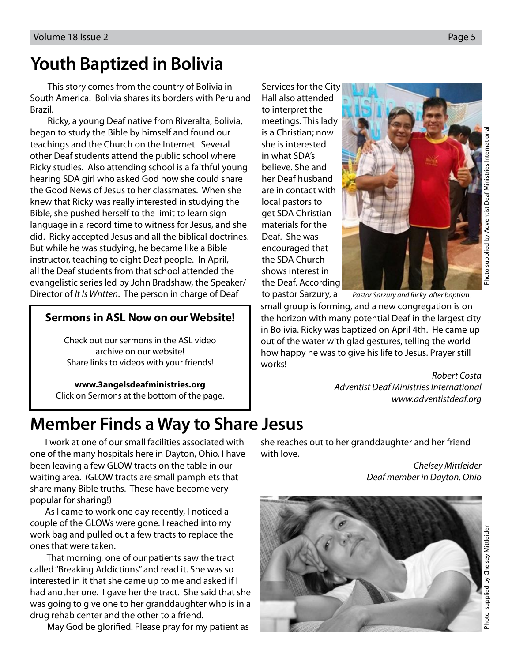### **Youth Baptized in Bolivia**

This story comes from the country of Bolivia in South America. Bolivia shares its borders with Peru and Brazil.

Ricky, a young Deaf native from Riveralta, Bolivia, began to study the Bible by himself and found our teachings and the Church on the Internet. Several other Deaf students attend the public school where Ricky studies. Also attending school is a faithful young hearing SDA girl who asked God how she could share the Good News of Jesus to her classmates. When she knew that Ricky was really interested in studying the Bible, she pushed herself to the limit to learn sign language in a record time to witness for Jesus, and she did. Ricky accepted Jesus and all the biblical doctrines. But while he was studying, he became like a Bible instructor, teaching to eight Deaf people. In April, all the Deaf students from that school attended the evangelistic series led by John Bradshaw, the Speaker/ Director of It Is Written. The person in charge of Deaf

#### **Sermons in ASL Now on our Website!**

Check out our sermons in the ASL video archive on our website! Share links to videos with your friends!

**www.3angelsdeafministries.org** Click on Sermons at the bottom of the page. Services for the City Hall also attended to interpret the meetings. This lady is a Christian; now she is interested in what SDA's believe. She and her Deaf husband are in contact with local pastors to get SDA Christian materials for the Deaf. She was encouraged that the SDA Church shows interest in the Deaf. According



Photo supplied by Adventist Deaf Ministries International Photo supplied by Adventist Deaf Ministries Internationa

to pastor Sarzury, a Pastor Sarzury and Ricky after baptism.

small group is forming, and a new congregation is on the horizon with many potential Deaf in the largest city in Bolivia. Ricky was baptized on April 4th. He came up out of the water with glad gestures, telling the world how happy he was to give his life to Jesus. Prayer still works!

> Robert Costa Adventist Deaf Ministries International www.adventistdeaf.org

### **Member Finds a Way to Share Jesus**

I work at one of our small facilities associated with one of the many hospitals here in Dayton, Ohio. I have been leaving a few GLOW tracts on the table in our waiting area. (GLOW tracts are small pamphlets that share many Bible truths. These have become very popular for sharing!)

As I came to work one day recently, I noticed a couple of the GLOWs were gone. I reached into my work bag and pulled out a few tracts to replace the ones that were taken.

 That morning, one of our patients saw the tract called "Breaking Addictions" and read it. She was so interested in it that she came up to me and asked if I had another one. I gave her the tract. She said that she was going to give one to her granddaughter who is in a drug rehab center and the other to a friend.

May God be glorified. Please pray for my patient as

she reaches out to her granddaughter and her friend with love.

> Chelsey Mittleider Deaf member in Dayton, Ohio

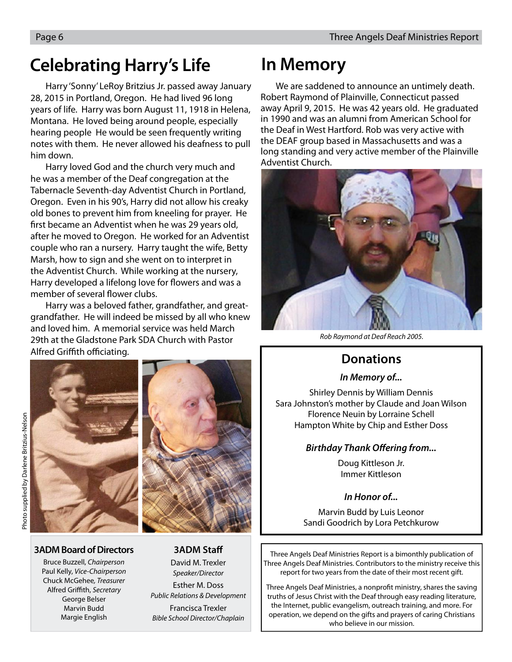### **Celebrating Harry's Life In Memory**

Harry 'Sonny' LeRoy Britzius Jr. passed away January 28, 2015 in Portland, Oregon. He had lived 96 long years of life. Harry was born August 11, 1918 in Helena, Montana. He loved being around people, especially hearing people He would be seen frequently writing notes with them. He never allowed his deafness to pull him down.

Harry loved God and the church very much and he was a member of the Deaf congregation at the Tabernacle Seventh-day Adventist Church in Portland, Oregon. Even in his 90's, Harry did not allow his creaky old bones to prevent him from kneeling for prayer. He first became an Adventist when he was 29 years old, after he moved to Oregon. He worked for an Adventist couple who ran a nursery. Harry taught the wife, Betty Marsh, how to sign and she went on to interpret in the Adventist Church. While working at the nursery, Harry developed a lifelong love for flowers and was a member of several flower clubs.

Harry was a beloved father, grandfather, and greatgrandfather. He will indeed be missed by all who knew and loved him. A memorial service was held March 29th at the Gladstone Park SDA Church with Pastor Alfred Griffith officiating.





#### **3ADM Board of Directors**

Bruce Buzzell, Chairperson Paul Kelly, Vice-Chairperson Chuck McGehee, Treasurer Alfred Griffith, Secretary George Belser Marvin Budd Margie English

#### **3ADM Staff**

David M. Trexler Speaker/Director Esther M. Doss

Public Relations & Development Francisca Trexler Bible School Director/Chaplain

We are saddened to announce an untimely death. Robert Raymond of Plainville, Connecticut passed away April 9, 2015. He was 42 years old. He graduated in 1990 and was an alumni from American School for the Deaf in West Hartford. Rob was very active with the DEAF group based in Massachusetts and was a long standing and very active member of the Plainville Adventist Church.



Rob Raymond at Deaf Reach 2005.

### **Donations**

#### **In Memory of...**

Shirley Dennis by William Dennis Sara Johnston's mother by Claude and Joan Wilson Florence Neuin by Lorraine Schell Hampton White by Chip and Esther Doss

#### **Birthday Thank Offering from...**

Doug Kittleson Jr. Immer Kittleson

#### **In Honor of...**

Marvin Budd by Luis Leonor Sandi Goodrich by Lora Petchkurow

Three Angels Deaf Ministries Report is a bimonthly publication of Three Angels Deaf Ministries. Contributors to the ministry receive this report for two years from the date of their most recent gift.

Three Angels Deaf Ministries, a nonprofit ministry, shares the saving truths of Jesus Christ with the Deaf through easy reading literature, the Internet, public evangelism, outreach training, and more. For operation, we depend on the gifts and prayers of caring Christians who believe in our mission.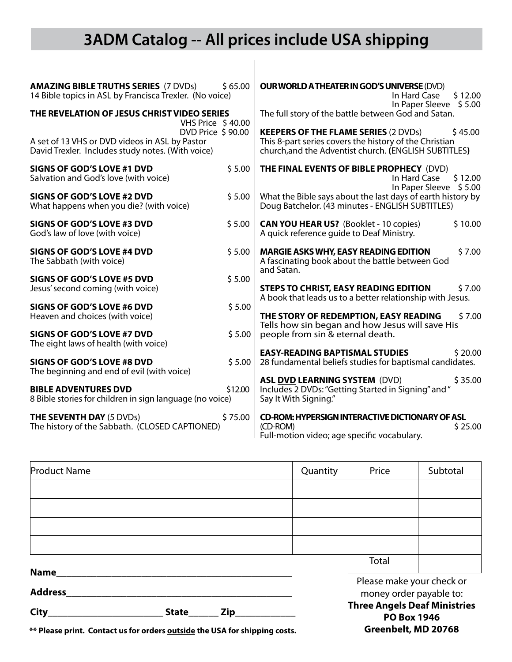### **3ADM Catalog -- All prices include USA shipping**

| <b>AMAZING BIBLE TRUTHS SERIES (7 DVDs)</b><br>14 Bible topics in ASL by Francisca Trexler. (No voice)                                                                                       | \$65.00 | <b>OUR WORLD A THEATER IN GOD'S UNIVERSE (DVD)</b><br>\$12.00<br>In Hard Case<br>In Paper Sleeve \$5.00                                                                   |  |  |
|----------------------------------------------------------------------------------------------------------------------------------------------------------------------------------------------|---------|---------------------------------------------------------------------------------------------------------------------------------------------------------------------------|--|--|
| THE REVELATION OF JESUS CHRIST VIDEO SERIES<br>VHS Price \$40.00<br>DVD Price \$90.00<br>A set of 13 VHS or DVD videos in ASL by Pastor<br>David Trexler. Includes study notes. (With voice) |         | The full story of the battle between God and Satan.                                                                                                                       |  |  |
|                                                                                                                                                                                              |         | <b>KEEPERS OF THE FLAME SERIES (2 DVDs)</b><br>\$45.00<br>This 8-part series covers the history of the Christian<br>church, and the Adventist church. (ENGLISH SUBTITLES) |  |  |
| <b>SIGNS OF GOD'S LOVE #1 DVD</b><br>Salvation and God's love (with voice)                                                                                                                   | \$5.00  | THE FINAL EVENTS OF BIBLE PROPHECY (DVD)<br>In Hard Case<br>\$12.00<br>In Paper Sleeve \$5.00                                                                             |  |  |
| <b>SIGNS OF GOD'S LOVE #2 DVD</b><br>What happens when you die? (with voice)                                                                                                                 | \$5.00  | What the Bible says about the last days of earth history by<br>Doug Batchelor. (43 minutes - ENGLISH SUBTITLES)                                                           |  |  |
| <b>SIGNS OF GOD'S LOVE #3 DVD</b><br>God's law of love (with voice)                                                                                                                          | \$5.00  | \$10.00<br><b>CAN YOU HEAR US?</b> (Booklet - 10 copies)<br>A quick reference guide to Deaf Ministry.                                                                     |  |  |
| <b>SIGNS OF GOD'S LOVE #4 DVD</b><br>The Sabbath (with voice)                                                                                                                                | \$5.00  | <b>MARGIE ASKS WHY, EASY READING EDITION</b><br>\$7.00<br>A fascinating book about the battle between God<br>and Satan.                                                   |  |  |
| SIGNS OF GOD'S LOVE #5 DVD<br>Jesus' second coming (with voice)                                                                                                                              | \$5.00  | <b>STEPS TO CHRIST, EASY READING EDITION</b><br>\$7.00<br>A book that leads us to a better relationship with Jesus.                                                       |  |  |
| <b>SIGNS OF GOD'S LOVE #6 DVD</b><br>Heaven and choices (with voice)                                                                                                                         | \$5.00  | THE STORY OF REDEMPTION, EASY READING<br>\$7.00<br>Tells how sin began and how Jesus will save His                                                                        |  |  |
| SIGNS OF GOD'S LOVE #7 DVD<br>The eight laws of health (with voice)                                                                                                                          | \$5.00  | people from sin & eternal death.                                                                                                                                          |  |  |
| <b>SIGNS OF GOD'S LOVE #8 DVD</b><br>The beginning and end of evil (with voice)                                                                                                              | \$5.00  | <b>EASY-READING BAPTISMAL STUDIES</b><br>\$20.00<br>28 fundamental beliefs studies for baptismal candidates.                                                              |  |  |
| <b>BIBLE ADVENTURES DVD</b><br>8 Bible stories for children in sign language (no voice)                                                                                                      | \$12.00 | <b>ASL DVD LEARNING SYSTEM (DVD)</b><br>\$35.00<br>Includes 2 DVDs: "Getting Started in Signing" and "<br>Say It With Signing."                                           |  |  |
| <b>THE SEVENTH DAY (5 DVDs)</b><br>The history of the Sabbath. (CLOSED CAPTIONED)                                                                                                            | \$75.00 | <b>CD-ROM: HYPERSIGN INTERACTIVE DICTIONARY OF ASL</b><br>\$25.00<br>(CD-ROM)<br>Full-motion video; age specific vocabulary.                                              |  |  |

| <b>Product Name</b>                |  |                                                           | Quantity                                             | Price | Subtotal |
|------------------------------------|--|-----------------------------------------------------------|------------------------------------------------------|-------|----------|
|                                    |  |                                                           |                                                      |       |          |
|                                    |  |                                                           |                                                      |       |          |
|                                    |  |                                                           |                                                      |       |          |
|                                    |  |                                                           |                                                      |       |          |
|                                    |  |                                                           |                                                      | Total |          |
| <b>Name</b><br><b>Address</b>      |  |                                                           | Please make your check or<br>money order payable to: |       |          |
| City<br><b>State</b><br><b>Zip</b> |  | <b>Three Angels Deaf Ministries</b><br><b>PO Box 1946</b> |                                                      |       |          |

**Greenbelt, MD 20768**

**\*\* Please print. Contact us for orders outside the USA for shipping costs.**